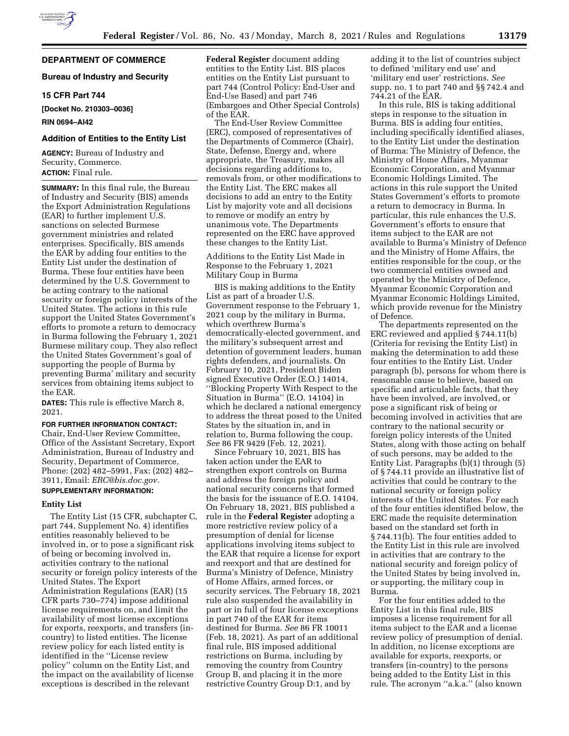## **DEPARTMENT OF COMMERCE**

## **Bureau of Industry and Security**

## **15 CFR Part 744**

**[Docket No. 210303–0036]** 

### **RIN 0694–AI42**

### **Addition of Entities to the Entity List**

**AGENCY:** Bureau of Industry and Security, Commerce. **ACTION:** Final rule.

**SUMMARY:** In this final rule, the Bureau of Industry and Security (BIS) amends the Export Administration Regulations (EAR) to further implement U.S. sanctions on selected Burmese government ministries and related enterprises. Specifically, BIS amends the EAR by adding four entities to the Entity List under the destination of Burma. These four entities have been determined by the U.S. Government to be acting contrary to the national security or foreign policy interests of the United States. The actions in this rule support the United States Government's efforts to promote a return to democracy in Burma following the February 1, 2021 Burmese military coup. They also reflect the United States Government's goal of supporting the people of Burma by preventing Burma' military and security services from obtaining items subject to the EAR.

**DATES:** This rule is effective March 8, 2021.

## **FOR FURTHER INFORMATION CONTACT:**

Chair, End-User Review Committee, Office of the Assistant Secretary, Export Administration, Bureau of Industry and Security, Department of Commerce, Phone: (202) 482–5991, Fax: (202) 482– 3911, Email: *[ERC@bis.doc.gov.](mailto:ERC@bis.doc.gov)* 

# **SUPPLEMENTARY INFORMATION:**

## **Entity List**

The Entity List (15 CFR, subchapter C, part 744, Supplement No. 4) identifies entities reasonably believed to be involved in, or to pose a significant risk of being or becoming involved in, activities contrary to the national security or foreign policy interests of the United States. The Export Administration Regulations (EAR) (15 CFR parts 730–774) impose additional license requirements on, and limit the availability of most license exceptions for exports, reexports, and transfers (incountry) to listed entities. The license review policy for each listed entity is identified in the ''License review policy'' column on the Entity List, and the impact on the availability of license exceptions is described in the relevant

**Federal Register** document adding entities to the Entity List. BIS places entities on the Entity List pursuant to part 744 (Control Policy: End-User and End-Use Based) and part 746 (Embargoes and Other Special Controls) of the EAR.

The End-User Review Committee (ERC), composed of representatives of the Departments of Commerce (Chair), State, Defense, Energy and, where appropriate, the Treasury, makes all decisions regarding additions to, removals from, or other modifications to the Entity List. The ERC makes all decisions to add an entry to the Entity List by majority vote and all decisions to remove or modify an entry by unanimous vote. The Departments represented on the ERC have approved these changes to the Entity List.

Additions to the Entity List Made in Response to the February 1, 2021 Military Coup in Burma

BIS is making additions to the Entity List as part of a broader U.S. Government response to the February 1, 2021 coup by the military in Burma, which overthrew Burma's democratically-elected government, and the military's subsequent arrest and detention of government leaders, human rights defenders, and journalists. On February 10, 2021, President Biden signed Executive Order (E.O.) 14014, ''Blocking Property With Respect to the Situation in Burma'' (E.O. 14104) in which he declared a national emergency to address the threat posed to the United States by the situation in, and in relation to, Burma following the coup. *See* 86 FR 9429 (Feb. 12, 2021).

Since February 10, 2021, BIS has taken action under the EAR to strengthen export controls on Burma and address the foreign policy and national security concerns that formed the basis for the issuance of E.O. 14104. On February 18, 2021, BIS published a rule in the **Federal Register** adopting a more restrictive review policy of a presumption of denial for license applications involving items subject to the EAR that require a license for export and reexport and that are destined for Burma's Ministry of Defence, Ministry of Home Affairs, armed forces, or security services. The February 18, 2021 rule also suspended the availability in part or in full of four license exceptions in part 740 of the EAR for items destined for Burma. *See* 86 FR 10011 (Feb. 18, 2021). As part of an additional final rule, BIS imposed additional restrictions on Burma, including by removing the country from Country Group B, and placing it in the more restrictive Country Group D:1, and by

adding it to the list of countries subject to defined 'military end use' and 'military end user' restrictions. *See*  supp. no. 1 to part 740 and §§ 742.4 and 744.21 of the EAR.

In this rule, BIS is taking additional steps in response to the situation in Burma. BIS is adding four entities, including specifically identified aliases, to the Entity List under the destination of Burma: The Ministry of Defence, the Ministry of Home Affairs, Myanmar Economic Corporation, and Myanmar Economic Holdings Limited. The actions in this rule support the United States Government's efforts to promote a return to democracy in Burma. In particular, this rule enhances the U.S. Government's efforts to ensure that items subject to the EAR are not available to Burma's Ministry of Defence and the Ministry of Home Affairs, the entities responsible for the coup, or the two commercial entities owned and operated by the Ministry of Defence, Myanmar Economic Corporation and Myanmar Economic Holdings Limited, which provide revenue for the Ministry of Defence.

The departments represented on the ERC reviewed and applied § 744.11(b) (Criteria for revising the Entity List) in making the determination to add these four entities to the Entity List. Under paragraph (b), persons for whom there is reasonable cause to believe, based on specific and articulable facts, that they have been involved, are involved, or pose a significant risk of being or becoming involved in activities that are contrary to the national security or foreign policy interests of the United States, along with those acting on behalf of such persons, may be added to the Entity List. Paragraphs (b)(1) through (5) of § 744.11 provide an illustrative list of activities that could be contrary to the national security or foreign policy interests of the United States. For each of the four entities identified below, the ERC made the requisite determination based on the standard set forth in § 744.11(b). The four entities added to the Entity List in this rule are involved in activities that are contrary to the national security and foreign policy of the United States by being involved in, or supporting, the military coup in Burma.

For the four entities added to the Entity List in this final rule, BIS imposes a license requirement for all items subject to the EAR and a license review policy of presumption of denial. In addition, no license exceptions are available for exports, reexports, or transfers (in-country) to the persons being added to the Entity List in this rule. The acronym ''a.k.a.'' (also known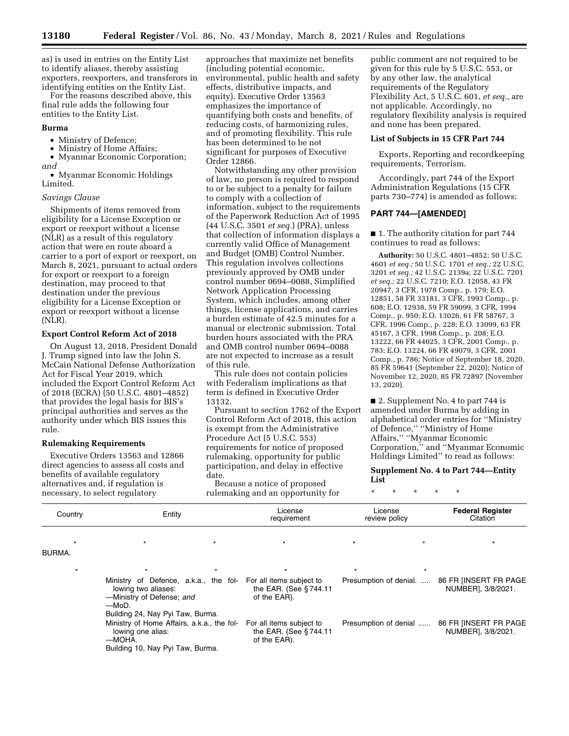as) is used in entries on the Entity List to identify aliases, thereby assisting exporters, reexporters, and transferors in identifying entities on the Entity List.

For the reasons described above, this final rule adds the following four entities to the Entity List.

### **Burma**

• Ministry of Defence;

• Ministry of Home Affairs;

• Myanmar Economic Corporation; *and* 

• Myanmar Economic Holdings Limited.

### *Savings Clause*

Shipments of items removed from eligibility for a License Exception or export or reexport without a license (NLR) as a result of this regulatory action that were en route aboard a carrier to a port of export or reexport, on March 8, 2021, pursuant to actual orders for export or reexport to a foreign destination, may proceed to that destination under the previous eligibility for a License Exception or export or reexport without a license (NLR).

#### **Export Control Reform Act of 2018**

On August 13, 2018, President Donald J. Trump signed into law the John S. McCain National Defense Authorization Act for Fiscal Year 2019, which included the Export Control Reform Act of 2018 (ECRA) (50 U.S.C. 4801–4852) that provides the legal basis for BIS's principal authorities and serves as the authority under which BIS issues this rule.

### **Rulemaking Requirements**

Executive Orders 13563 and 12866 direct agencies to assess all costs and benefits of available regulatory alternatives and, if regulation is necessary, to select regulatory

approaches that maximize net benefits (including potential economic, environmental, public health and safety effects, distributive impacts, and equity). Executive Order 13563 emphasizes the importance of quantifying both costs and benefits, of reducing costs, of harmonizing rules, and of promoting flexibility. This rule has been determined to be not significant for purposes of Executive Order 12866.

Notwithstanding any other provision of law, no person is required to respond to or be subject to a penalty for failure to comply with a collection of information, subject to the requirements of the Paperwork Reduction Act of 1995 (44 U.S.C. 3501 *et seq.*) (PRA), unless that collection of information displays a currently valid Office of Management and Budget (OMB) Control Number. This regulation involves collections previously approved by OMB under control number 0694–0088, Simplified Network Application Processing System, which includes, among other things, license applications, and carries a burden estimate of 42.5 minutes for a manual or electronic submission. Total burden hours associated with the PRA and OMB control number 0694–0088 are not expected to increase as a result of this rule.

This rule does not contain policies with Federalism implications as that term is defined in Executive Order 13132.

Pursuant to section 1762 of the Export Control Reform Act of 2018, this action is exempt from the Administrative Procedure Act (5 U.S.C. 553) requirements for notice of proposed rulemaking, opportunity for public participation, and delay in effective date.

Because a notice of proposed rulemaking and an opportunity for

public comment are not required to be given for this rule by 5 U.S.C. 553, or by any other law, the analytical requirements of the Regulatory Flexibility Act, 5 U.S.C. 601, *et seq.,* are not applicable. Accordingly, no regulatory flexibility analysis is required and none has been prepared.

#### **List of Subjects in 15 CFR Part 744**

Exports, Reporting and recordkeeping requirements, Terrorism.

Accordingly, part 744 of the Export Administration Regulations (15 CFR parts 730–774) is amended as follows:

## **PART 744—[AMENDED]**

■ 1. The authority citation for part 744 continues to read as follows:

**Authority:** 50 U.S.C. 4801–4852; 50 U.S.C. 4601 *et seq.;* 50 U.S.C. 1701 *et seq.;* 22 U.S.C. 3201 *et seq.;* 42 U.S.C. 2139a; 22 U.S.C. 7201 *et seq.;* 22 U.S.C. 7210; E.O. 12058, 43 FR 20947, 3 CFR, 1978 Comp., p. 179; E.O. 12851, 58 FR 33181, 3 CFR, 1993 Comp., p. 608; E.O. 12938, 59 FR 59099, 3 CFR, 1994 Comp., p. 950; E.O. 13026, 61 FR 58767, 3 CFR, 1996 Comp., p. 228; E.O. 13099, 63 FR 45167, 3 CFR, 1998 Comp., p. 208; E.O. 13222, 66 FR 44025, 3 CFR, 2001 Comp., p. 783; E.O. 13224, 66 FR 49079, 3 CFR, 2001 Comp., p. 786; Notice of September 18, 2020, 85 FR 59641 (September 22, 2020); Notice of November 12, 2020, 85 FR 72897 (November 13, 2020).

■ 2. Supplement No. 4 to part 744 is amended under Burma by adding in alphabetical order entries for ''Ministry of Defence,'' ''Ministry of Home Affairs,'' ''Myanmar Economic Corporation,'' and ''Myanmar Economic Holdings Limited'' to read as follows:

**Supplement No. 4 to Part 744—Entity List** 

\* \* \* \* \*

| Country | Entity                                                                                                                                                          | License<br>requirement                                            | License<br>review policy | <b>Federal Register</b><br>Citation         |  |
|---------|-----------------------------------------------------------------------------------------------------------------------------------------------------------------|-------------------------------------------------------------------|--------------------------|---------------------------------------------|--|
| BURMA.  | $\star$                                                                                                                                                         | $\star$                                                           | $\star$                  |                                             |  |
| $\star$ | $\star$                                                                                                                                                         | $\star$                                                           | $\star$<br>$\star$       |                                             |  |
|         | Ministry of Defence, a.k.a., the fol- For all items subject to<br>lowing two aliases:<br>-Ministry of Defense; and<br>—MoD.<br>Building 24, Nay Pyi Taw, Burma. | the EAR. (See §744.11<br>of the EAR).                             | Presumption of denial.   | 86 FR IINSERT FR PAGE<br>NUMBER], 3/8/2021. |  |
|         | Ministry of Home Affairs, a.k.a., the fol-<br>lowing one alias:<br>—MOHA.<br>Building 10, Nay Pyi Taw, Burma.                                                   | For all items subject to<br>the EAR. (See §744.11<br>of the EAR). | Presumption of denial    | 86 FR IINSERT FR PAGE<br>NUMBER], 3/8/2021. |  |